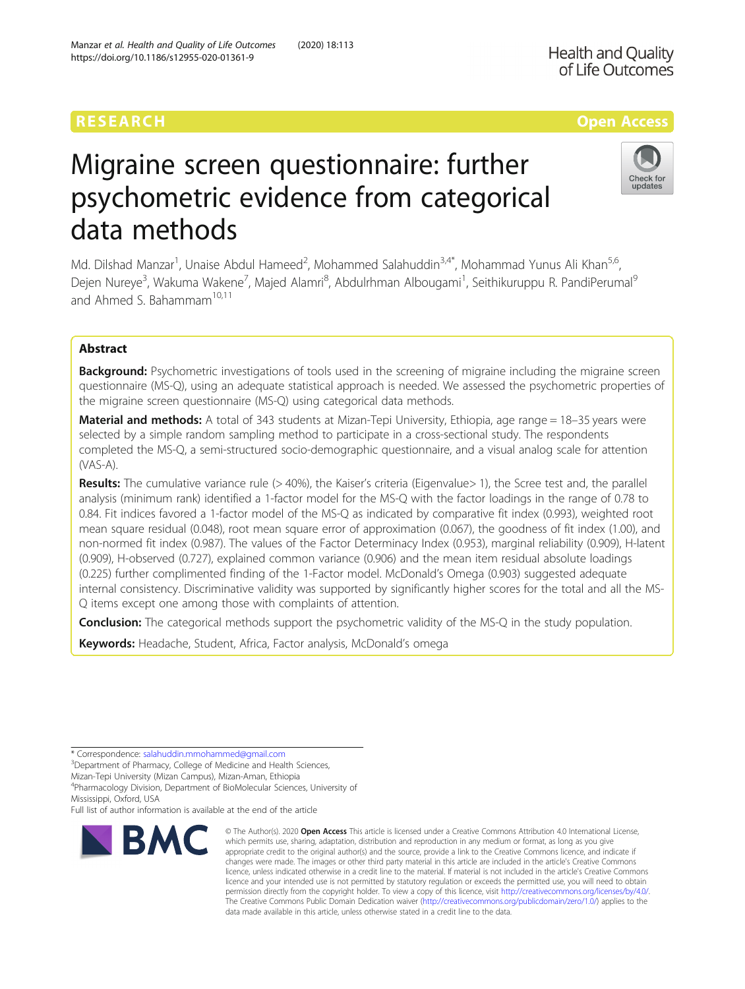# RESEARCH **RESEARCH CONSUMING THE CONSUMING THE CONSUMING TENS**

# Migraine screen questionnaire: further psychometric evidence from categorical data methods

Md. Dilshad Manzar<sup>1</sup>, Unaise Abdul Hameed<sup>2</sup>, Mohammed Salahuddin<sup>3,4\*</sup>, Mohammad Yunus Ali Khan<sup>5,6</sup>, Dejen Nureye<sup>3</sup>, Wakuma Wakene<sup>7</sup>, Majed Alamri<sup>8</sup>, Abdulrhman Albougami<sup>1</sup>, Seithikuruppu R. PandiPerumal<sup>s</sup> and Ahmed S. Bahammam<sup>10,11</sup>

# Abstract

**Background:** Psychometric investigations of tools used in the screening of migraine including the migraine screen questionnaire (MS-Q), using an adequate statistical approach is needed. We assessed the psychometric properties of the migraine screen questionnaire (MS-Q) using categorical data methods.

Material and methods: A total of 343 students at Mizan-Tepi University, Ethiopia, age range = 18–35 years were selected by a simple random sampling method to participate in a cross-sectional study. The respondents completed the MS-Q, a semi-structured socio-demographic questionnaire, and a visual analog scale for attention (VAS-A).

Results: The cumulative variance rule (>40%), the Kaiser's criteria (Eigenvalue> 1), the Scree test and, the parallel analysis (minimum rank) identified a 1-factor model for the MS-Q with the factor loadings in the range of 0.78 to 0.84. Fit indices favored a 1-factor model of the MS-Q as indicated by comparative fit index (0.993), weighted root mean square residual (0.048), root mean square error of approximation (0.067), the goodness of fit index (1.00), and non-normed fit index (0.987). The values of the Factor Determinacy Index (0.953), marginal reliability (0.909), H-latent (0.909), H-observed (0.727), explained common variance (0.906) and the mean item residual absolute loadings (0.225) further complimented finding of the 1-Factor model. McDonald's Omega (0.903) suggested adequate internal consistency. Discriminative validity was supported by significantly higher scores for the total and all the MS-Q items except one among those with complaints of attention.

**Conclusion:** The categorical methods support the psychometric validity of the MS-Q in the study population.

Keywords: Headache, Student, Africa, Factor analysis, McDonald's omega

\* Correspondence: [salahuddin.mmohammed@gmail.com](mailto:salahuddin.mmohammed@gmail.com) <sup>3</sup>

<sup>3</sup>Department of Pharmacy, College of Medicine and Health Sciences,

Mizan-Tepi University (Mizan Campus), Mizan-Aman, Ethiopia

4 Pharmacology Division, Department of BioMolecular Sciences, University of Mississippi, Oxford, USA

Full list of author information is available at the end of the article

# © The Author(s), 2020 **Open Access** This article is licensed under a Creative Commons Attribution 4.0 International License, **BMC**

Manzar et al. Health and Quality of Life Outcomes (2020) 18:113

which permits use, sharing, adaptation, distribution and reproduction in any medium or format, as long as you give appropriate credit to the original author(s) and the source, provide a link to the Creative Commons licence, and indicate if changes were made. The images or other third party material in this article are included in the article's Creative Commons licence, unless indicated otherwise in a credit line to the material. If material is not included in the article's Creative Commons licence and your intended use is not permitted by statutory regulation or exceeds the permitted use, you will need to obtain permission directly from the copyright holder. To view a copy of this licence, visit [http://creativecommons.org/licenses/by/4.0/.](http://creativecommons.org/licenses/by/4.0/) The Creative Commons Public Domain Dedication waiver [\(http://creativecommons.org/publicdomain/zero/1.0/](http://creativecommons.org/publicdomain/zero/1.0/)) applies to the data made available in this article, unless otherwise stated in a credit line to the data.



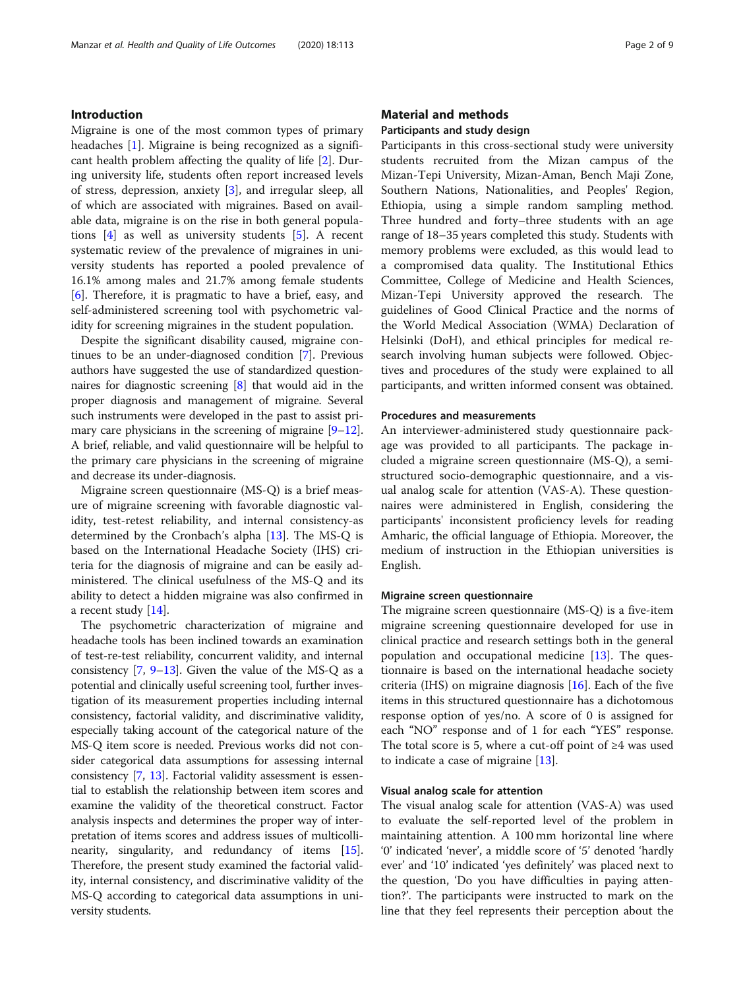#### Introduction

Migraine is one of the most common types of primary headaches [\[1\]](#page-7-0). Migraine is being recognized as a significant health problem affecting the quality of life [\[2](#page-7-0)]. During university life, students often report increased levels of stress, depression, anxiety [[3\]](#page-7-0), and irregular sleep, all of which are associated with migraines. Based on available data, migraine is on the rise in both general populations [\[4](#page-7-0)] as well as university students [[5\]](#page-7-0). A recent systematic review of the prevalence of migraines in university students has reported a pooled prevalence of 16.1% among males and 21.7% among female students [[6\]](#page-7-0). Therefore, it is pragmatic to have a brief, easy, and self-administered screening tool with psychometric validity for screening migraines in the student population.

Despite the significant disability caused, migraine continues to be an under-diagnosed condition [\[7\]](#page-7-0). Previous authors have suggested the use of standardized questionnaires for diagnostic screening [[8](#page-7-0)] that would aid in the proper diagnosis and management of migraine. Several such instruments were developed in the past to assist pri-mary care physicians in the screening of migraine [\[9](#page-7-0)–[12](#page-7-0)]. A brief, reliable, and valid questionnaire will be helpful to the primary care physicians in the screening of migraine and decrease its under-diagnosis.

Migraine screen questionnaire (MS-Q) is a brief measure of migraine screening with favorable diagnostic validity, test-retest reliability, and internal consistency-as determined by the Cronbach's alpha [[13\]](#page-7-0). The MS-Q is based on the International Headache Society (IHS) criteria for the diagnosis of migraine and can be easily administered. The clinical usefulness of the MS-Q and its ability to detect a hidden migraine was also confirmed in a recent study [\[14](#page-7-0)].

The psychometric characterization of migraine and headache tools has been inclined towards an examination of test-re-test reliability, concurrent validity, and internal consistency  $[7, 9-13]$  $[7, 9-13]$  $[7, 9-13]$  $[7, 9-13]$  $[7, 9-13]$  $[7, 9-13]$ . Given the value of the MS-Q as a potential and clinically useful screening tool, further investigation of its measurement properties including internal consistency, factorial validity, and discriminative validity, especially taking account of the categorical nature of the MS-Q item score is needed. Previous works did not consider categorical data assumptions for assessing internal consistency [\[7,](#page-7-0) [13](#page-7-0)]. Factorial validity assessment is essential to establish the relationship between item scores and examine the validity of the theoretical construct. Factor analysis inspects and determines the proper way of interpretation of items scores and address issues of multicollinearity, singularity, and redundancy of items [[15](#page-7-0)]. Therefore, the present study examined the factorial validity, internal consistency, and discriminative validity of the MS-Q according to categorical data assumptions in university students.

### Material and methods

#### Participants and study design

Participants in this cross-sectional study were university students recruited from the Mizan campus of the Mizan-Tepi University, Mizan-Aman, Bench Maji Zone, Southern Nations, Nationalities, and Peoples' Region, Ethiopia, using a simple random sampling method. Three hundred and forty–three students with an age range of 18–35 years completed this study. Students with memory problems were excluded, as this would lead to a compromised data quality. The Institutional Ethics Committee, College of Medicine and Health Sciences, Mizan-Tepi University approved the research. The guidelines of Good Clinical Practice and the norms of the World Medical Association (WMA) Declaration of Helsinki (DoH), and ethical principles for medical research involving human subjects were followed. Objectives and procedures of the study were explained to all participants, and written informed consent was obtained.

#### Procedures and measurements

An interviewer-administered study questionnaire package was provided to all participants. The package included a migraine screen questionnaire (MS-Q), a semistructured socio-demographic questionnaire, and a visual analog scale for attention (VAS-A). These questionnaires were administered in English, considering the participants' inconsistent proficiency levels for reading Amharic, the official language of Ethiopia. Moreover, the medium of instruction in the Ethiopian universities is English.

#### Migraine screen questionnaire

The migraine screen questionnaire (MS-Q) is a five-item migraine screening questionnaire developed for use in clinical practice and research settings both in the general population and occupational medicine [\[13](#page-7-0)]. The questionnaire is based on the international headache society criteria (IHS) on migraine diagnosis [\[16](#page-7-0)]. Each of the five items in this structured questionnaire has a dichotomous response option of yes/no. A score of 0 is assigned for each "NO" response and of 1 for each "YES" response. The total score is 5, where a cut-off point of  $\geq 4$  was used to indicate a case of migraine [\[13\]](#page-7-0).

#### Visual analog scale for attention

The visual analog scale for attention (VAS-A) was used to evaluate the self-reported level of the problem in maintaining attention. A 100 mm horizontal line where '0' indicated 'never', a middle score of '5' denoted 'hardly ever' and '10' indicated 'yes definitely' was placed next to the question, 'Do you have difficulties in paying attention?'. The participants were instructed to mark on the line that they feel represents their perception about the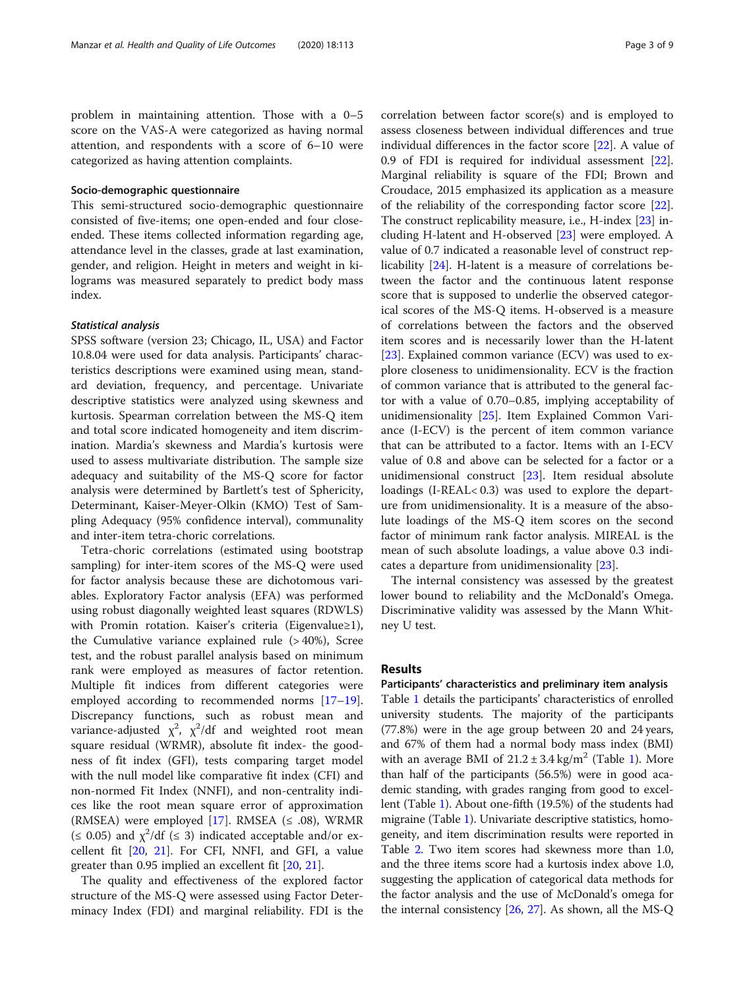problem in maintaining attention. Those with a 0–5 score on the VAS-A were categorized as having normal attention, and respondents with a score of 6–10 were categorized as having attention complaints.

#### Socio-demographic questionnaire

This semi-structured socio-demographic questionnaire consisted of five-items; one open-ended and four closeended. These items collected information regarding age, attendance level in the classes, grade at last examination, gender, and religion. Height in meters and weight in kilograms was measured separately to predict body mass index.

#### Statistical analysis

SPSS software (version 23; Chicago, IL, USA) and Factor 10.8.04 were used for data analysis. Participants' characteristics descriptions were examined using mean, standard deviation, frequency, and percentage. Univariate descriptive statistics were analyzed using skewness and kurtosis. Spearman correlation between the MS-Q item and total score indicated homogeneity and item discrimination. Mardia's skewness and Mardia's kurtosis were used to assess multivariate distribution. The sample size adequacy and suitability of the MS-Q score for factor analysis were determined by Bartlett's test of Sphericity, Determinant, Kaiser-Meyer-Olkin (KMO) Test of Sampling Adequacy (95% confidence interval), communality and inter-item tetra-choric correlations.

Tetra-choric correlations (estimated using bootstrap sampling) for inter-item scores of the MS-Q were used for factor analysis because these are dichotomous variables. Exploratory Factor analysis (EFA) was performed using robust diagonally weighted least squares (RDWLS) with Promin rotation. Kaiser's criteria (Eigenvalue≥1), the Cumulative variance explained rule (> 40%), Scree test, and the robust parallel analysis based on minimum rank were employed as measures of factor retention. Multiple fit indices from different categories were employed according to recommended norms [[17](#page-7-0)-[19](#page-7-0)]. Discrepancy functions, such as robust mean and variance-adjusted  $\chi^2$ ,  $\chi^2/\mathrm{df}$  and weighted root mean square residual (WRMR), absolute fit index- the goodness of fit index (GFI), tests comparing target model with the null model like comparative fit index (CFI) and non-normed Fit Index (NNFI), and non-centrality indices like the root mean square error of approximation (RMSEA) were employed [[17\]](#page-7-0). RMSEA ( $\leq$  .08), WRMR  $(\leq 0.05)$  and  $\chi^2$ /df  $(\leq 3)$  indicated acceptable and/or excellent fit [[20,](#page-7-0) [21](#page-7-0)]. For CFI, NNFI, and GFI, a value greater than 0.95 implied an excellent fit [\[20](#page-7-0), [21\]](#page-7-0).

The quality and effectiveness of the explored factor structure of the MS-Q were assessed using Factor Determinacy Index (FDI) and marginal reliability. FDI is the correlation between factor score(s) and is employed to assess closeness between individual differences and true individual differences in the factor score [[22](#page-7-0)]. A value of 0.9 of FDI is required for individual assessment [\[22](#page-7-0)]. Marginal reliability is square of the FDI; Brown and Croudace, 2015 emphasized its application as a measure of the reliability of the corresponding factor score [\[22](#page-7-0)]. The construct replicability measure, i.e., H-index [\[23\]](#page-7-0) including H-latent and H-observed [[23\]](#page-7-0) were employed. A value of 0.7 indicated a reasonable level of construct replicability [\[24](#page-7-0)]. H-latent is a measure of correlations between the factor and the continuous latent response score that is supposed to underlie the observed categorical scores of the MS-Q items. H-observed is a measure of correlations between the factors and the observed item scores and is necessarily lower than the H-latent [[23\]](#page-7-0). Explained common variance (ECV) was used to explore closeness to unidimensionality. ECV is the fraction of common variance that is attributed to the general factor with a value of 0.70–0.85, implying acceptability of unidimensionality [[25](#page-7-0)]. Item Explained Common Variance (I-ECV) is the percent of item common variance that can be attributed to a factor. Items with an I-ECV value of 0.8 and above can be selected for a factor or a unidimensional construct [[23\]](#page-7-0). Item residual absolute loadings (I-REAL< 0.3) was used to explore the departure from unidimensionality. It is a measure of the absolute loadings of the MS-Q item scores on the second factor of minimum rank factor analysis. MIREAL is the mean of such absolute loadings, a value above 0.3 indicates a departure from unidimensionality [\[23](#page-7-0)].

The internal consistency was assessed by the greatest lower bound to reliability and the McDonald's Omega. Discriminative validity was assessed by the Mann Whitney U test.

### Results

#### Participants' characteristics and preliminary item analysis

Table [1](#page-3-0) details the participants' characteristics of enrolled university students. The majority of the participants (77.8%) were in the age group between 20 and 24 years, and 67% of them had a normal body mass index (BMI) with an average BMI of  $21.2 \pm 3.4$  kg/m<sup>2</sup> (Table [1\)](#page-3-0). More than half of the participants (56.5%) were in good academic standing, with grades ranging from good to excellent (Table [1\)](#page-3-0). About one-fifth (19.5%) of the students had migraine (Table [1\)](#page-3-0). Univariate descriptive statistics, homogeneity, and item discrimination results were reported in Table [2](#page-4-0). Two item scores had skewness more than 1.0, and the three items score had a kurtosis index above 1.0, suggesting the application of categorical data methods for the factor analysis and the use of McDonald's omega for the internal consistency [[26,](#page-7-0) [27\]](#page-7-0). As shown, all the MS-Q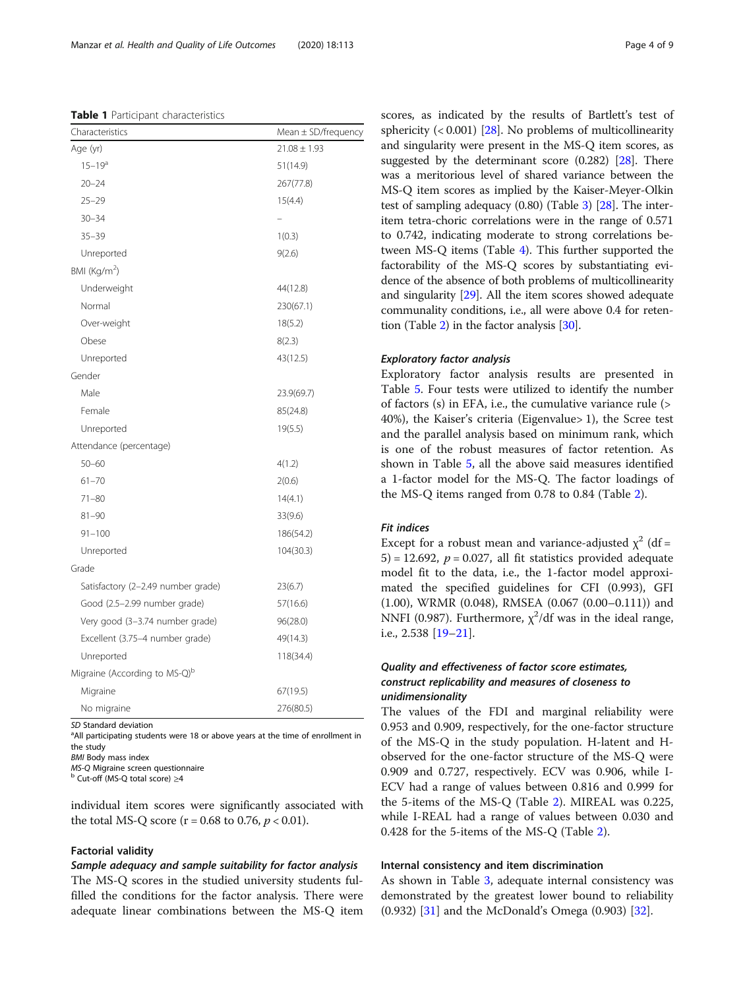<span id="page-3-0"></span>Table 1 Participant characteristics

| Characteristics                           | Mean $\pm$ SD/frequency |
|-------------------------------------------|-------------------------|
| Age (yr)                                  | $21.08 \pm 1.93$        |
| $15 - 19a$                                | 51(14.9)                |
| $20 - 24$                                 | 267(77.8)               |
| $25 - 29$                                 | 15(4.4)                 |
| $30 - 34$                                 |                         |
| $35 - 39$                                 | 1(0.3)                  |
| Unreported                                | 9(2.6)                  |
| BMI (Kg/m <sup>2</sup> )                  |                         |
| Underweight                               | 44(12.8)                |
| Normal                                    | 230(67.1)               |
| Over-weight                               | 18(5.2)                 |
| Obese                                     | 8(2.3)                  |
| Unreported                                | 43(12.5)                |
| Gender                                    |                         |
| Male                                      | 23.9(69.7)              |
| Female                                    | 85(24.8)                |
| Unreported                                | 19(5.5)                 |
| Attendance (percentage)                   |                         |
| $50 - 60$                                 | 4(1.2)                  |
| $61 - 70$                                 | 2(0.6)                  |
| $71 - 80$                                 | 14(4.1)                 |
| $81 - 90$                                 | 33(9.6)                 |
| $91 - 100$                                | 186(54.2)               |
| Unreported                                | 104(30.3)               |
| Grade                                     |                         |
| Satisfactory (2-2.49 number grade)        | 23(6.7)                 |
| Good (2.5-2.99 number grade)              | 57(16.6)                |
| Very good (3-3.74 number grade)           | 96(28.0)                |
| Excellent (3.75-4 number grade)           | 49(14.3)                |
| Unreported                                | 118(34.4)               |
| Migraine (According to MS-Q) <sup>b</sup> |                         |
| Migraine                                  | 67(19.5)                |
| No migraine                               | 276(80.5)               |

SD Standard deviation

<sup>a</sup> All participating students were 18 or above years at the time of enrollment in the study

BMI Body mass index

MS-Q Migraine screen questionnaire<br><sup>b</sup> Cut-off (MS-O total score) >4

individual item scores were significantly associated with the total MS-Q score ( $r = 0.68$  to 0.76,  $p < 0.01$ ).

#### Factorial validity

Sample adequacy and sample suitability for factor analysis The MS-Q scores in the studied university students fulfilled the conditions for the factor analysis. There were adequate linear combinations between the MS-Q item

scores, as indicated by the results of Bartlett's test of sphericity  $(< 0.001)$  [[28](#page-7-0)]. No problems of multicollinearity and singularity were present in the MS-Q item scores, as suggested by the determinant score (0.282) [\[28\]](#page-7-0). There was a meritorious level of shared variance between the MS-Q item scores as implied by the Kaiser-Meyer-Olkin test of sampling adequacy (0.80) (Table [3](#page-4-0)) [[28](#page-7-0)]. The interitem tetra-choric correlations were in the range of 0.571 to 0.742, indicating moderate to strong correlations between MS-Q items (Table [4](#page-5-0)). This further supported the factorability of the MS-Q scores by substantiating evidence of the absence of both problems of multicollinearity and singularity [[29](#page-7-0)]. All the item scores showed adequate communality conditions, i.e., all were above 0.4 for retention (Table [2](#page-4-0)) in the factor analysis [[30](#page-7-0)].

#### Exploratory factor analysis

Exploratory factor analysis results are presented in Table [5](#page-5-0). Four tests were utilized to identify the number of factors (s) in EFA, i.e., the cumulative variance rule (> 40%), the Kaiser's criteria (Eigenvalue> 1), the Scree test and the parallel analysis based on minimum rank, which is one of the robust measures of factor retention. As shown in Table [5,](#page-5-0) all the above said measures identified a 1-factor model for the MS-Q. The factor loadings of the MS-Q items ranged from 0.78 to 0.84 (Table [2](#page-4-0)).

#### Fit indices

Except for a robust mean and variance-adjusted  $\chi^2$  (df = 5) = 12.692,  $p = 0.027$ , all fit statistics provided adequate model fit to the data, i.e., the 1-factor model approximated the specified guidelines for CFI (0.993), GFI (1.00), WRMR (0.048), RMSEA (0.067 (0.00–0.111)) and NNFI (0.987). Furthermore,  $\chi^2$ /df was in the ideal range, i.e., 2.538 [[19](#page-7-0)–[21\]](#page-7-0).

# Quality and effectiveness of factor score estimates, construct replicability and measures of closeness to unidimensionality

The values of the FDI and marginal reliability were 0.953 and 0.909, respectively, for the one-factor structure of the MS-Q in the study population. H-latent and Hobserved for the one-factor structure of the MS-Q were 0.909 and 0.727, respectively. ECV was 0.906, while I-ECV had a range of values between 0.816 and 0.999 for the 5-items of the MS-Q (Table [2](#page-4-0)). MIREAL was 0.225, while I-REAL had a range of values between 0.030 and 0.428 for the 5-items of the MS-Q (Table [2](#page-4-0)).

#### Internal consistency and item discrimination

As shown in Table [3](#page-4-0), adequate internal consistency was demonstrated by the greatest lower bound to reliability (0.932) [[31\]](#page-7-0) and the McDonald's Omega (0.903) [\[32](#page-8-0)].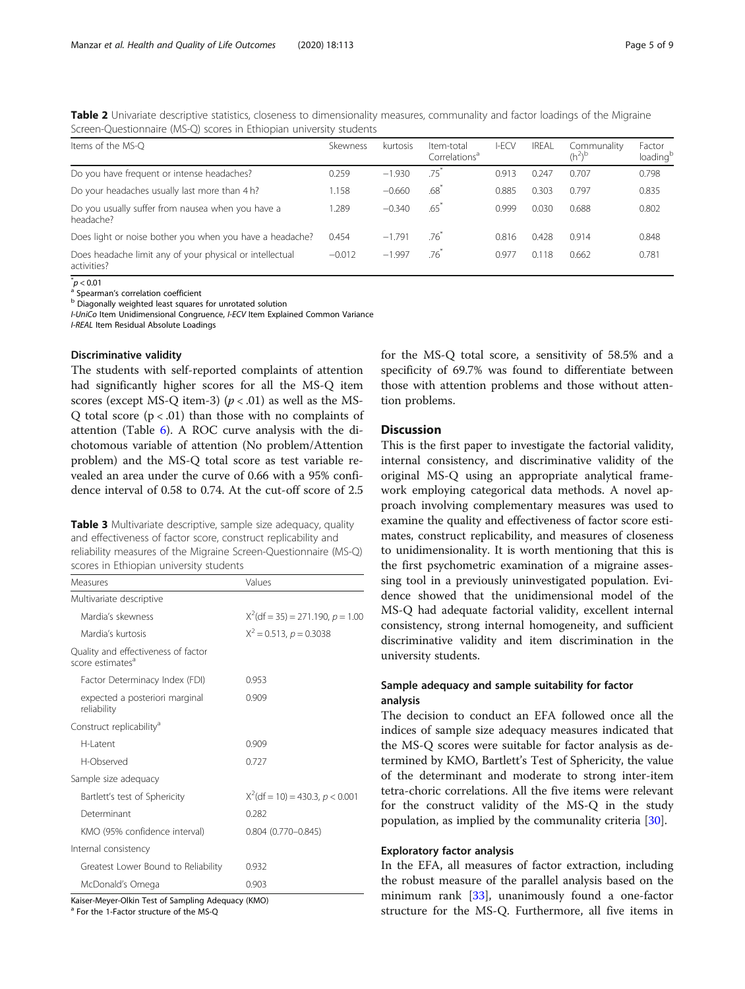<span id="page-4-0"></span>Table 2 Univariate descriptive statistics, closeness to dimensionality measures, communality and factor loadings of the Migraine Screen-Questionnaire (MS-Q) scores in Ethiopian university students

| Items of the MS-O                                                       | Skewness | kurtosis | Item-total<br>Correlations <sup>a</sup> | I-ECV | <b>IREAL</b> | Communalitv<br>$(h^2)^b$ | Factor<br>loadingb |
|-------------------------------------------------------------------------|----------|----------|-----------------------------------------|-------|--------------|--------------------------|--------------------|
| Do you have frequent or intense headaches?                              | 0.259    | $-1.930$ | $.75^{\degree}$                         | 0.913 | 0.247        | 0.707                    | 0.798              |
| Do your headaches usually last more than 4 h?                           | 1.158    | $-0.660$ | $.68^*$                                 | 0.885 | 0.303        | 0.797                    | 0.835              |
| Do you usually suffer from nausea when you have a<br>headache?          | .289     | $-0.340$ | .65                                     | 0.999 | 0.030        | 0.688                    | 0.802              |
| Does light or noise bother you when you have a headache?                | 0.454    | $-1.791$ | .76"                                    | 0.816 | 0.428        | 0.914                    | 0.848              |
| Does headache limit any of your physical or intellectual<br>activities? | $-0.012$ | $-1.997$ | .76                                     | 0.977 | 0.118        | 0.662                    | 0.781              |

 $p$  < 0.01

<sup>a</sup> Spearman's correlation coefficient<br><sup>b</sup> Diagonally weighted least squares for unrotated solution

I-UniCo Item Unidimensional Congruence, I-ECV Item Explained Common Variance

I-REAL Item Residual Absolute Loadings

#### Discriminative validity

The students with self-reported complaints of attention had significantly higher scores for all the MS-Q item scores (except MS-Q item-3) ( $p < .01$ ) as well as the MS-Q total score  $(p < .01)$  than those with no complaints of attention (Table [6\)](#page-6-0). A ROC curve analysis with the dichotomous variable of attention (No problem/Attention problem) and the MS-Q total score as test variable revealed an area under the curve of 0.66 with a 95% confidence interval of 0.58 to 0.74. At the cut-off score of 2.5

Table 3 Multivariate descriptive, sample size adequacy, quality and effectiveness of factor score, construct replicability and reliability measures of the Migraine Screen-Questionnaire (MS-Q) scores in Ethiopian university students

| Measures                                                            | Values                               |  |  |  |
|---------------------------------------------------------------------|--------------------------------------|--|--|--|
| Multivariate descriptive                                            |                                      |  |  |  |
| Mardia's skewness                                                   | $X^2$ (df = 35) = 271.190, p = 1.00  |  |  |  |
| Mardia's kurtosis                                                   | $X^2 = 0.513$ , $p = 0.3038$         |  |  |  |
| Quality and effectiveness of factor<br>score estimates <sup>a</sup> |                                      |  |  |  |
| Factor Determinacy Index (FDI)                                      | 0.953                                |  |  |  |
| expected a posteriori marginal<br>reliability                       | 0.909                                |  |  |  |
| Construct replicability <sup>d</sup>                                |                                      |  |  |  |
| H-I atent                                                           | 0.909                                |  |  |  |
| H-Observed                                                          | 0.727                                |  |  |  |
| Sample size adequacy                                                |                                      |  |  |  |
| Bartlett's test of Sphericity                                       | $X^{2}$ (df = 10) = 430.3, p < 0.001 |  |  |  |
| Determinant                                                         | 0.282                                |  |  |  |
| KMO (95% confidence interval)                                       | $0.804$ (0.770-0.845)                |  |  |  |
| Internal consistency                                                |                                      |  |  |  |
| Greatest Lower Bound to Reliability                                 | 0.932                                |  |  |  |
| McDonald's Omega                                                    | 0.903                                |  |  |  |

Kaiser-Meyer-Olkin Test of Sampling Adequacy (KMO)

<sup>a</sup> For the 1-Factor structure of the MS-Q

for the MS-Q total score, a sensitivity of 58.5% and a specificity of 69.7% was found to differentiate between those with attention problems and those without attention problems.

#### **Discussion**

This is the first paper to investigate the factorial validity, internal consistency, and discriminative validity of the original MS-Q using an appropriate analytical framework employing categorical data methods. A novel approach involving complementary measures was used to examine the quality and effectiveness of factor score estimates, construct replicability, and measures of closeness to unidimensionality. It is worth mentioning that this is the first psychometric examination of a migraine assessing tool in a previously uninvestigated population. Evidence showed that the unidimensional model of the MS-Q had adequate factorial validity, excellent internal consistency, strong internal homogeneity, and sufficient discriminative validity and item discrimination in the university students.

### Sample adequacy and sample suitability for factor analysis

The decision to conduct an EFA followed once all the indices of sample size adequacy measures indicated that the MS-Q scores were suitable for factor analysis as determined by KMO, Bartlett's Test of Sphericity, the value of the determinant and moderate to strong inter-item tetra-choric correlations. All the five items were relevant for the construct validity of the MS-Q in the study population, as implied by the communality criteria [\[30](#page-7-0)].

#### Exploratory factor analysis

In the EFA, all measures of factor extraction, including the robust measure of the parallel analysis based on the minimum rank [[33\]](#page-8-0), unanimously found a one-factor structure for the MS-Q. Furthermore, all five items in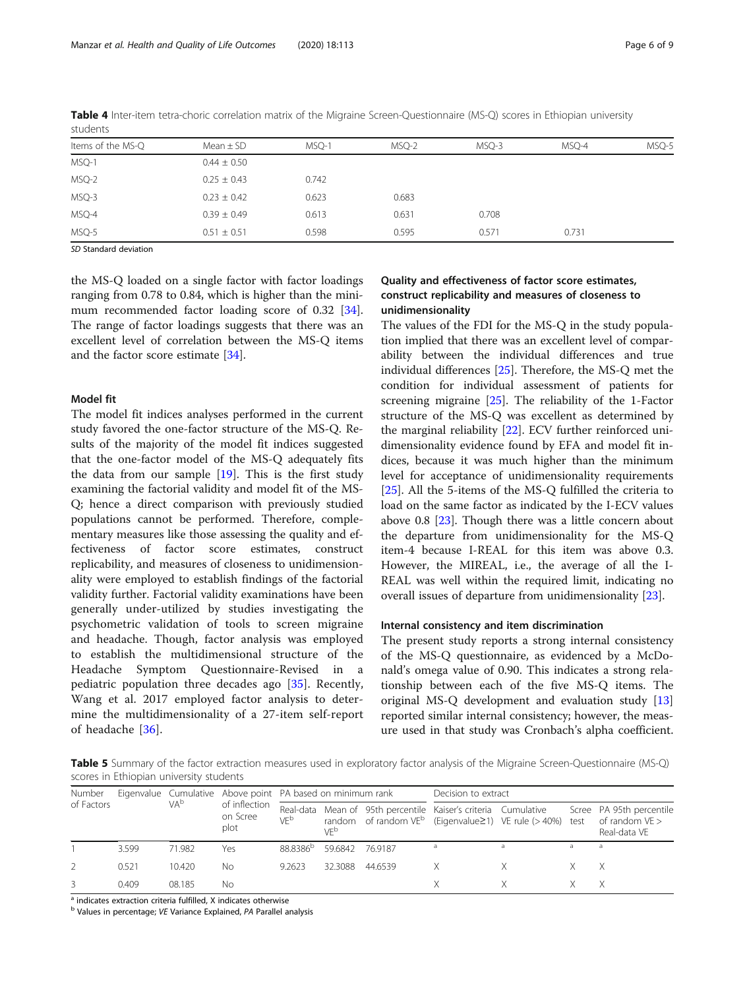| Items of the MS-Q | Mean $\pm$ SD   | MSQ-1 | MSQ-2 | MSQ-3 | MSO-4 | MSQ-5 |
|-------------------|-----------------|-------|-------|-------|-------|-------|
| MSQ-1             | $0.44 \pm 0.50$ |       |       |       |       |       |
| MSQ-2             | $0.25 \pm 0.43$ | 0.742 |       |       |       |       |
| MSQ-3             | $0.23 \pm 0.42$ | 0.623 | 0.683 |       |       |       |
| MSQ-4             | $0.39 \pm 0.49$ | 0.613 | 0.631 | 0.708 |       |       |
| MSQ-5             | $0.51 \pm 0.51$ | 0.598 | 0.595 | 0.571 | 0.731 |       |

<span id="page-5-0"></span>Table 4 Inter-item tetra-choric correlation matrix of the Migraine Screen-Questionnaire (MS-Q) scores in Ethiopian university students

SD Standard deviation

the MS-Q loaded on a single factor with factor loadings ranging from 0.78 to 0.84, which is higher than the mini-mum recommended factor loading score of 0.32 [\[34](#page-8-0)]. The range of factor loadings suggests that there was an excellent level of correlation between the MS-Q items and the factor score estimate [[34](#page-8-0)].

#### Model fit

The model fit indices analyses performed in the current study favored the one-factor structure of the MS-Q. Results of the majority of the model fit indices suggested that the one-factor model of the MS-Q adequately fits the data from our sample [\[19](#page-7-0)]. This is the first study examining the factorial validity and model fit of the MS-Q; hence a direct comparison with previously studied populations cannot be performed. Therefore, complementary measures like those assessing the quality and effectiveness of factor score estimates, construct replicability, and measures of closeness to unidimensionality were employed to establish findings of the factorial validity further. Factorial validity examinations have been generally under-utilized by studies investigating the psychometric validation of tools to screen migraine and headache. Though, factor analysis was employed to establish the multidimensional structure of the Headache Symptom Questionnaire-Revised in a pediatric population three decades ago [[35\]](#page-8-0). Recently, Wang et al. 2017 employed factor analysis to determine the multidimensionality of a 27-item self-report of headache [[36](#page-8-0)].

## Quality and effectiveness of factor score estimates, construct replicability and measures of closeness to unidimensionality

The values of the FDI for the MS-Q in the study population implied that there was an excellent level of comparability between the individual differences and true individual differences [\[25](#page-7-0)]. Therefore, the MS-Q met the condition for individual assessment of patients for screening migraine [[25](#page-7-0)]. The reliability of the 1-Factor structure of the MS-Q was excellent as determined by the marginal reliability [\[22](#page-7-0)]. ECV further reinforced unidimensionality evidence found by EFA and model fit indices, because it was much higher than the minimum level for acceptance of unidimensionality requirements [[25\]](#page-7-0). All the 5-items of the MS-Q fulfilled the criteria to load on the same factor as indicated by the I-ECV values above 0.8 [[23\]](#page-7-0). Though there was a little concern about the departure from unidimensionality for the MS-Q item-4 because I-REAL for this item was above 0.3. However, the MIREAL, i.e., the average of all the I-REAL was well within the required limit, indicating no overall issues of departure from unidimensionality [[23](#page-7-0)].

#### Internal consistency and item discrimination

The present study reports a strong internal consistency of the MS-Q questionnaire, as evidenced by a McDonald's omega value of 0.90. This indicates a strong relationship between each of the five MS-Q items. The original MS-Q development and evaluation study [[13](#page-7-0)] reported similar internal consistency; however, the measure used in that study was Cronbach's alpha coefficient.

Table 5 Summary of the factor extraction measures used in exploratory factor analysis of the Migraine Screen-Questionnaire (MS-Q) scores in Ethiopian university students

| Number<br>of Factors |       | VA <sup>b</sup> | of inflection<br>on Scree<br>plot | Eigenvalue Cumulative Above point PA based on minimum rank |                 |         | Decision to extract                                         |  |   |   |
|----------------------|-------|-----------------|-----------------------------------|------------------------------------------------------------|-----------------|---------|-------------------------------------------------------------|--|---|---|
|                      |       |                 |                                   |                                                            | VF <sup>b</sup> | VFb     | random of random $VE^D$ (Eigenvalue 21) VE rule (>40%) test |  |   |   |
|                      | 3599  | 71.982          | Yes                               | 88.8386 <sup>p</sup>                                       | 59.6842 76.9187 |         | a                                                           |  | a | a |
|                      | 0.521 | 10.420          | No.                               | 9.2623                                                     | 32.3088         | 44.6539 |                                                             |  |   | X |
|                      | 0.409 | 08.185          | Nο                                |                                                            |                 |         |                                                             |  |   |   |

<sup>a</sup> indicates extraction criteria fulfilled, X indicates otherwise<br><sup>b</sup> Values in percentage; VE Variance Explained, PA Parallel analysis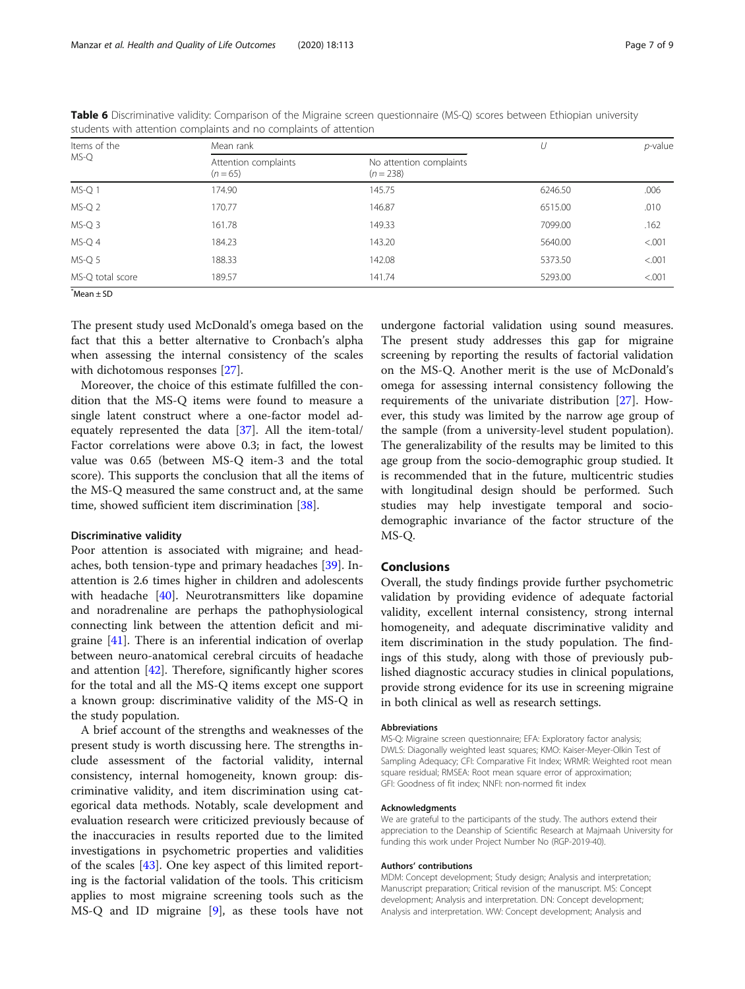| Items of the<br>MS-Q | Mean rank                          | U                                      | $p$ -value |         |
|----------------------|------------------------------------|----------------------------------------|------------|---------|
|                      | Attention complaints<br>$(n = 65)$ | No attention complaints<br>$(n = 238)$ |            |         |
| MS-Q 1               | 174.90                             | 145.75                                 | 6246.50    | .006    |
| MS-Q 2               | 170.77                             | 146.87                                 | 6515.00    | .010    |
| MS-Q 3               | 161.78                             | 149.33                                 | 7099.00    | .162    |
| MS-Q 4               | 184.23                             | 143.20                                 | 5640.00    | < 0.001 |
| $MS-Q5$              | 188.33                             | 142.08                                 | 5373.50    | < .001  |
| MS-Q total score     | 189.57                             | 141.74                                 | 5293.00    | < .001  |

<span id="page-6-0"></span>Table 6 Discriminative validity: Comparison of the Migraine screen questionnaire (MS-Q) scores between Ethiopian university students with attention complaints and no complaints of attention

\* Mean ± SD

The present study used McDonald's omega based on the fact that this a better alternative to Cronbach's alpha when assessing the internal consistency of the scales with dichotomous responses [\[27](#page-7-0)].

Moreover, the choice of this estimate fulfilled the condition that the MS-Q items were found to measure a single latent construct where a one-factor model adequately represented the data [[37](#page-8-0)]. All the item-total/ Factor correlations were above 0.3; in fact, the lowest value was 0.65 (between MS-Q item-3 and the total score). This supports the conclusion that all the items of the MS-Q measured the same construct and, at the same time, showed sufficient item discrimination [\[38](#page-8-0)].

#### Discriminative validity

Poor attention is associated with migraine; and headaches, both tension-type and primary headaches [\[39\]](#page-8-0). Inattention is 2.6 times higher in children and adolescents with headache [\[40](#page-8-0)]. Neurotransmitters like dopamine and noradrenaline are perhaps the pathophysiological connecting link between the attention deficit and migraine [[41\]](#page-8-0). There is an inferential indication of overlap between neuro-anatomical cerebral circuits of headache and attention [[42\]](#page-8-0). Therefore, significantly higher scores for the total and all the MS-Q items except one support a known group: discriminative validity of the MS-Q in the study population.

A brief account of the strengths and weaknesses of the present study is worth discussing here. The strengths include assessment of the factorial validity, internal consistency, internal homogeneity, known group: discriminative validity, and item discrimination using categorical data methods. Notably, scale development and evaluation research were criticized previously because of the inaccuracies in results reported due to the limited investigations in psychometric properties and validities of the scales [\[43](#page-8-0)]. One key aspect of this limited reporting is the factorial validation of the tools. This criticism applies to most migraine screening tools such as the MS-Q and ID migraine [[9\]](#page-7-0), as these tools have not

undergone factorial validation using sound measures. The present study addresses this gap for migraine screening by reporting the results of factorial validation on the MS-Q. Another merit is the use of McDonald's omega for assessing internal consistency following the requirements of the univariate distribution [\[27](#page-7-0)]. However, this study was limited by the narrow age group of the sample (from a university-level student population). The generalizability of the results may be limited to this age group from the socio-demographic group studied. It is recommended that in the future, multicentric studies with longitudinal design should be performed. Such studies may help investigate temporal and sociodemographic invariance of the factor structure of the MS-Q.

#### Conclusions

Overall, the study findings provide further psychometric validation by providing evidence of adequate factorial validity, excellent internal consistency, strong internal homogeneity, and adequate discriminative validity and item discrimination in the study population. The findings of this study, along with those of previously published diagnostic accuracy studies in clinical populations, provide strong evidence for its use in screening migraine in both clinical as well as research settings.

#### **Abbreviations**

MS-Q: Migraine screen questionnaire; EFA: Exploratory factor analysis; DWLS: Diagonally weighted least squares; KMO: Kaiser-Meyer-Olkin Test of Sampling Adequacy; CFI: Comparative Fit Index; WRMR: Weighted root mean square residual; RMSEA: Root mean square error of approximation; GFI: Goodness of fit index; NNFI: non-normed fit index

#### Acknowledgments

We are grateful to the participants of the study. The authors extend their appreciation to the Deanship of Scientific Research at Majmaah University for funding this work under Project Number No (RGP-2019-40).

#### Authors' contributions

MDM: Concept development; Study design; Analysis and interpretation; Manuscript preparation; Critical revision of the manuscript. MS: Concept development; Analysis and interpretation. DN: Concept development; Analysis and interpretation. WW: Concept development; Analysis and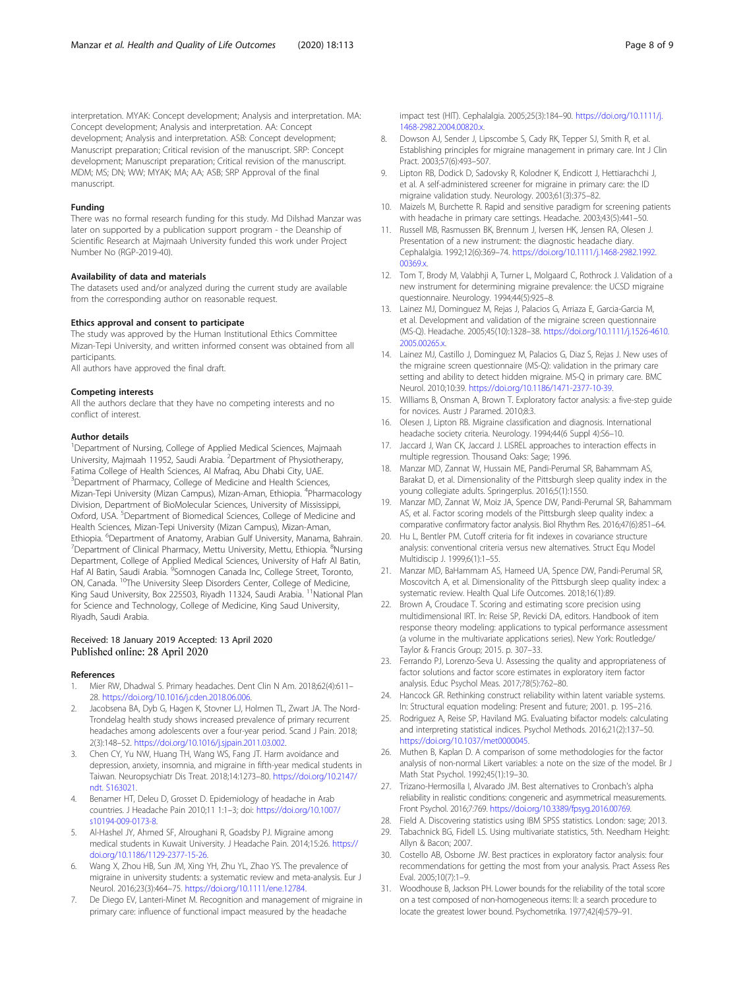<span id="page-7-0"></span>interpretation. MYAK: Concept development; Analysis and interpretation. MA: Concept development; Analysis and interpretation. AA: Concept development; Analysis and interpretation. ASB: Concept development; Manuscript preparation; Critical revision of the manuscript. SRP: Concept development; Manuscript preparation; Critical revision of the manuscript. MDM; MS; DN; WW; MYAK; MA; AA; ASB; SRP Approval of the final manuscript.

#### Funding

There was no formal research funding for this study. Md Dilshad Manzar was later on supported by a publication support program - the Deanship of Scientific Research at Majmaah University funded this work under Project Number No (RGP-2019-40).

#### Availability of data and materials

The datasets used and/or analyzed during the current study are available from the corresponding author on reasonable request.

#### Ethics approval and consent to participate

The study was approved by the Human Institutional Ethics Committee Mizan-Tepi University, and written informed consent was obtained from all participants.

All authors have approved the final draft.

#### Competing interests

All the authors declare that they have no competing interests and no conflict of interest.

#### Author details

<sup>1</sup>Department of Nursing, College of Applied Medical Sciences, Majmaah University, Majmaah 11952, Saudi Arabia. <sup>2</sup>Department of Physiotherapy, Fatima College of Health Sciences, Al Mafraq, Abu Dhabi City, UAE. <sup>3</sup>Department of Pharmacy, College of Medicine and Health Sciences, Mizan-Tepi University (Mizan Campus), Mizan-Aman, Ethiopia. <sup>4</sup>Pharmacology Division, Department of BioMolecular Sciences, University of Mississippi, Oxford, USA. <sup>5</sup>Department of Biomedical Sciences, College of Medicine and Health Sciences, Mizan-Tepi University (Mizan Campus), Mizan-Aman, Ethiopia. <sup>6</sup>Department of Anatomy, Arabian Gulf University, Manama, Bahrain.<br><sup>7</sup>Department of Clinical Pharmacy, Metty University, Metty, Ethiopia. <sup>8</sup>Nursing Department of Clinical Pharmacy, Mettu University, Mettu, Ethiopia. <sup>8</sup>Nursing Department, College of Applied Medical Sciences, University of Hafr Al Batin, Haf Al Batin, Saudi Arabia. <sup>9</sup>Somnogen Canada Inc, College Street, Toronto, ON, Canada. 10The University Sleep Disorders Center, College of Medicine, King Saud University, Box 225503, Riyadh 11324, Saudi Arabia. <sup>11</sup>National Plan for Science and Technology, College of Medicine, King Saud University, Riyadh, Saudi Arabia.

#### Received: 18 January 2019 Accepted: 13 April 2020 Published online: 28 April 2020

#### References

- 1. Mier RW, Dhadwal S. Primary headaches. Dent Clin N Am. 2018;62(4):611– 28. <https://doi.org/10.1016/j.cden.2018.06.006>.
- 2. Jacobsena BA, Dyb G, Hagen K, Stovner LJ, Holmen TL, Zwart JA. The Nord-Trondelag health study shows increased prevalence of primary recurrent headaches among adolescents over a four-year period. Scand J Pain. 2018; 2(3):148–52. [https://doi.org/10.1016/j.sjpain.2011.03.002.](https://doi.org/10.1016/j.sjpain.2011.03.002)
- 3. Chen CY, Yu NW, Huang TH, Wang WS, Fang JT. Harm avoidance and depression, anxiety, insomnia, and migraine in fifth-year medical students in Taiwan. Neuropsychiatr Dis Treat. 2018;14:1273–80. [https://doi.org/10.2147/](https://doi.org/10.2147/ndt. S163021) [ndt. S163021.](https://doi.org/10.2147/ndt. S163021)
- 4. Benamer HT, Deleu D, Grosset D. Epidemiology of headache in Arab countries. J Headache Pain 2010;11 1:1–3; doi: [https://doi.org/10.1007/](https://doi.org/10.1007/s10194-009-0173-8) [s10194-009-0173-8.](https://doi.org/10.1007/s10194-009-0173-8)
- 5. Al-Hashel JY, Ahmed SF, Alroughani R, Goadsby PJ. Migraine among medical students in Kuwait University. J Headache Pain. 2014;15:26. [https://](https://doi.org/10.1186/1129-2377-15-26) [doi.org/10.1186/1129-2377-15-26](https://doi.org/10.1186/1129-2377-15-26).
- Wang X, Zhou HB, Sun JM, Xing YH, Zhu YL, Zhao YS. The prevalence of migraine in university students: a systematic review and meta-analysis. Eur J Neurol. 2016;23(3):464–75. <https://doi.org/10.1111/ene.12784>.
- 7. De Diego EV, Lanteri-Minet M. Recognition and management of migraine in primary care: influence of functional impact measured by the headache

impact test (HIT). Cephalalgia. 2005;25(3):184–90. [https://doi.org/10.1111/j.](https://doi.org/10.1111/j.1468-2982.2004.00820.x) [1468-2982.2004.00820.x](https://doi.org/10.1111/j.1468-2982.2004.00820.x).

- 8. Dowson AJ, Sender J, Lipscombe S, Cady RK, Tepper SJ, Smith R, et al. Establishing principles for migraine management in primary care. Int J Clin Pract. 2003;57(6):493–507.
- 9. Lipton RB, Dodick D, Sadovsky R, Kolodner K, Endicott J, Hettiarachchi J, et al. A self-administered screener for migraine in primary care: the ID migraine validation study. Neurology. 2003;61(3):375–82.
- 10. Maizels M, Burchette R. Rapid and sensitive paradigm for screening patients with headache in primary care settings. Headache. 2003;43(5):441–50.
- 11. Russell MB, Rasmussen BK, Brennum J, Iversen HK, Jensen RA, Olesen J. Presentation of a new instrument: the diagnostic headache diary. Cephalalgia. 1992;12(6):369–74. [https://doi.org/10.1111/j.1468-2982.1992.](https://doi.org/10.1111/j.1468-2982.1992.00369.x) [00369.x](https://doi.org/10.1111/j.1468-2982.1992.00369.x).
- 12. Tom T, Brody M, Valabhji A, Turner L, Molgaard C, Rothrock J. Validation of a new instrument for determining migraine prevalence: the UCSD migraine questionnaire. Neurology. 1994;44(5):925–8.
- 13. Lainez MJ, Dominguez M, Rejas J, Palacios G, Arriaza E, Garcia-Garcia M, et al. Development and validation of the migraine screen questionnaire (MS-Q). Headache. 2005;45(10):1328–38. [https://doi.org/10.1111/j.1526-4610.](https://doi.org/10.1111/j.1526-4610.2005.00265.x) [2005.00265.x.](https://doi.org/10.1111/j.1526-4610.2005.00265.x)
- 14. Lainez MJ, Castillo J, Dominguez M, Palacios G, Diaz S, Rejas J. New uses of the migraine screen questionnaire (MS-Q): validation in the primary care setting and ability to detect hidden migraine. MS-Q in primary care. BMC Neurol. 2010;10:39. <https://doi.org/10.1186/1471-2377-10-39>.
- 15. Williams B, Onsman A, Brown T. Exploratory factor analysis: a five-step guide for novices. Austr J Paramed. 2010;8:3.
- 16. Olesen J, Lipton RB. Migraine classification and diagnosis. International headache society criteria. Neurology. 1994;44(6 Suppl 4):S6–10.
- 17. Jaccard J, Wan CK, Jaccard J. LISREL approaches to interaction effects in multiple regression. Thousand Oaks: Sage; 1996.
- 18. Manzar MD, Zannat W, Hussain ME, Pandi-Perumal SR, Bahammam AS, Barakat D, et al. Dimensionality of the Pittsburgh sleep quality index in the young collegiate adults. Springerplus. 2016;5(1):1550.
- 19. Manzar MD, Zannat W, Moiz JA, Spence DW, Pandi-Perumal SR, Bahammam AS, et al. Factor scoring models of the Pittsburgh sleep quality index: a comparative confirmatory factor analysis. Biol Rhythm Res. 2016;47(6):851–64.
- 20. Hu L, Bentler PM. Cutoff criteria for fit indexes in covariance structure analysis: conventional criteria versus new alternatives. Struct Equ Model Multidiscip J. 1999;6(1):1–55.
- 21. Manzar MD, BaHammam AS, Hameed UA, Spence DW, Pandi-Perumal SR, Moscovitch A, et al. Dimensionality of the Pittsburgh sleep quality index: a systematic review. Health Qual Life Outcomes. 2018;16(1):89.
- 22. Brown A, Croudace T. Scoring and estimating score precision using multidimensional IRT. In: Reise SP, Revicki DA, editors. Handbook of item response theory modeling: applications to typical performance assessment (a volume in the multivariate applications series). New York: Routledge/ Taylor & Francis Group; 2015. p. 307–33.
- 23. Ferrando PJ, Lorenzo-Seva U. Assessing the quality and appropriateness of factor solutions and factor score estimates in exploratory item factor analysis. Educ Psychol Meas. 2017;78(5):762–80.
- 24. Hancock GR. Rethinking construct reliability within latent variable systems. In: Structural equation modeling: Present and future; 2001. p. 195–216.
- 25. Rodriguez A, Reise SP, Haviland MG. Evaluating bifactor models: calculating and interpreting statistical indices. Psychol Methods. 2016;21(2):137–50. <https://doi.org/10.1037/met0000045>.
- 26. Muthen B, Kaplan D. A comparison of some methodologies for the factor analysis of non-normal Likert variables: a note on the size of the model. Br J Math Stat Psychol. 1992;45(1):19–30.
- 27. Trizano-Hermosilla I, Alvarado JM. Best alternatives to Cronbach's alpha reliability in realistic conditions: congeneric and asymmetrical measurements. Front Psychol. 2016;7:769. [https://doi.org/10.3389/fpsyg.2016.00769.](https://doi.org/10.3389/fpsyg.2016.00769)
- 28. Field A. Discovering statistics using IBM SPSS statistics. London: sage; 2013.
- 29. Tabachnick BG, Fidell LS. Using multivariate statistics, 5th. Needham Height: Allyn & Bacon; 2007.
- 30. Costello AB, Osborne JW. Best practices in exploratory factor analysis: four recommendations for getting the most from your analysis. Pract Assess Res Eval. 2005;10(7):1–9.
- 31. Woodhouse B, Jackson PH. Lower bounds for the reliability of the total score on a test composed of non-homogeneous items: II: a search procedure to locate the greatest lower bound. Psychometrika. 1977;42(4):579–91.